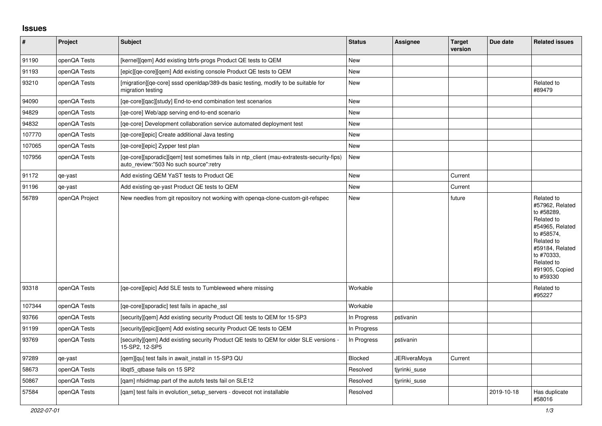## **Issues**

| $\vert$ # | Project        | <b>Subject</b>                                                                                                                       | <b>Status</b>  | <b>Assignee</b>     | <b>Target</b><br>version | Due date   | <b>Related issues</b>                                                                                                                                                                  |
|-----------|----------------|--------------------------------------------------------------------------------------------------------------------------------------|----------------|---------------------|--------------------------|------------|----------------------------------------------------------------------------------------------------------------------------------------------------------------------------------------|
| 91190     | openQA Tests   | [kernel][gem] Add existing btrfs-progs Product QE tests to QEM                                                                       | <b>New</b>     |                     |                          |            |                                                                                                                                                                                        |
| 91193     | openQA Tests   | [epic][ge-core][gem] Add existing console Product QE tests to QEM                                                                    | New            |                     |                          |            |                                                                                                                                                                                        |
| 93210     | openQA Tests   | [migration][qe-core] sssd openIdap/389-ds basic testing, modify to be suitable for<br>migration testing                              | <b>New</b>     |                     |                          |            | Related to<br>#89479                                                                                                                                                                   |
| 94090     | openQA Tests   | [qe-core][qac][study] End-to-end combination test scenarios                                                                          | New            |                     |                          |            |                                                                                                                                                                                        |
| 94829     | openQA Tests   | [ge-core] Web/app serving end-to-end scenario                                                                                        | New            |                     |                          |            |                                                                                                                                                                                        |
| 94832     | openQA Tests   | [ge-core] Development collaboration service automated deployment test                                                                | <b>New</b>     |                     |                          |            |                                                                                                                                                                                        |
| 107770    | openQA Tests   | [ge-core][epic] Create additional Java testing                                                                                       | New            |                     |                          |            |                                                                                                                                                                                        |
| 107065    | openQA Tests   | [ge-core][epic] Zypper test plan                                                                                                     | New            |                     |                          |            |                                                                                                                                                                                        |
| 107956    | openQA Tests   | [ge-core][sporadic][gem] test sometimes fails in ntp client (mau-extratests-security-fips)<br>auto_review:"503 No such source":retry | New            |                     |                          |            |                                                                                                                                                                                        |
| 91172     | qe-yast        | Add existing QEM YaST tests to Product QE                                                                                            | New            |                     | Current                  |            |                                                                                                                                                                                        |
| 91196     | qe-yast        | Add existing ge-yast Product QE tests to QEM                                                                                         | <b>New</b>     |                     | Current                  |            |                                                                                                                                                                                        |
| 56789     | openQA Project | New needles from git repository not working with openga-clone-custom-git-refspec                                                     | <b>New</b>     |                     | future                   |            | Related to<br>#57962, Related<br>to #58289,<br>Related to<br>#54965, Related<br>to #58574,<br>Related to<br>#59184, Related<br>to #70333.<br>Related to<br>#91905, Copied<br>to #59330 |
| 93318     | openQA Tests   | [ge-core][epic] Add SLE tests to Tumbleweed where missing                                                                            | Workable       |                     |                          |            | Related to<br>#95227                                                                                                                                                                   |
| 107344    | openQA Tests   | [qe-core][sporadic] test fails in apache_ssl                                                                                         | Workable       |                     |                          |            |                                                                                                                                                                                        |
| 93766     | openQA Tests   | [security][qem] Add existing security Product QE tests to QEM for 15-SP3                                                             | In Progress    | pstivanin           |                          |            |                                                                                                                                                                                        |
| 91199     | openQA Tests   | [security][epic][gem] Add existing security Product QE tests to QEM                                                                  | In Progress    |                     |                          |            |                                                                                                                                                                                        |
| 93769     | openQA Tests   | [security][qem] Add existing security Product QE tests to QEM for older SLE versions -<br>15-SP2, 12-SP5                             | In Progress    | pstivanin           |                          |            |                                                                                                                                                                                        |
| 97289     | qe-yast        | [qem][qu] test fails in await_install in 15-SP3 QU                                                                                   | <b>Blocked</b> | <b>JERiveraMoya</b> | Current                  |            |                                                                                                                                                                                        |
| 58673     | openQA Tests   | libqt5_qtbase fails on 15 SP2                                                                                                        | Resolved       | tjyrinki_suse       |                          |            |                                                                                                                                                                                        |
| 50867     | openQA Tests   | [qam] nfsidmap part of the autofs tests fail on SLE12                                                                                | Resolved       | tjyrinki_suse       |                          |            |                                                                                                                                                                                        |
| 57584     | openQA Tests   | [qam] test fails in evolution_setup_servers - dovecot not installable                                                                | Resolved       |                     |                          | 2019-10-18 | Has duplicate<br>#58016                                                                                                                                                                |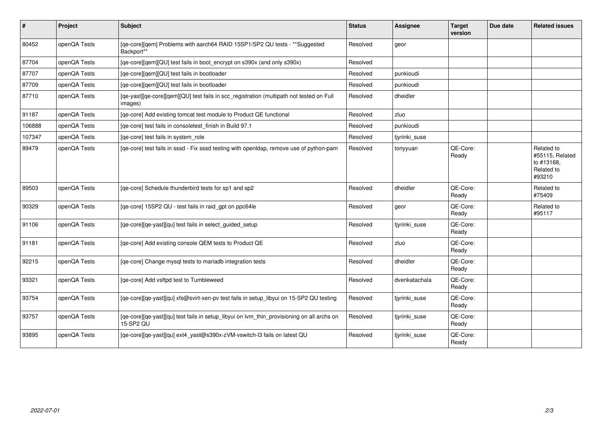| #      | Project      | <b>Subject</b>                                                                                          | <b>Status</b> | Assignee      | <b>Target</b><br>version | Due date | <b>Related issues</b>                                               |
|--------|--------------|---------------------------------------------------------------------------------------------------------|---------------|---------------|--------------------------|----------|---------------------------------------------------------------------|
| 80452  | openQA Tests | [qe-core][qem] Problems with aarch64 RAID 15SP1/SP2 QU tests - ** Suggested<br>Backport**               | Resolved      | geor          |                          |          |                                                                     |
| 87704  | openQA Tests | [qe-core][qem][QU] test fails in boot_encrypt on s390x (and only s390x)                                 | Resolved      |               |                          |          |                                                                     |
| 87707  | openQA Tests | [qe-core][qem][QU] test fails in bootloader                                                             | Resolved      | punkioudi     |                          |          |                                                                     |
| 87709  | openQA Tests | [qe-core][qem][QU] test fails in bootloader                                                             | Resolved      | punkioudi     |                          |          |                                                                     |
| 87710  | openQA Tests | [qe-yast][qe-core][qem][QU] test fails in scc_registration (multipath not tested on Full<br>images)     | Resolved      | dheidler      |                          |          |                                                                     |
| 91187  | openQA Tests | [qe-core] Add existing tomcat test module to Product QE functional                                      | Resolved      | zluo          |                          |          |                                                                     |
| 106888 | openQA Tests | [qe-core] test fails in consoletest_finish in Build 97.1                                                | Resolved      | punkioudi     |                          |          |                                                                     |
| 107347 | openQA Tests | [qe-core] test fails in system_role                                                                     | Resolved      | tjyrinki suse |                          |          |                                                                     |
| 89479  | openQA Tests | [qe-core] test fails in sssd - Fix sssd testing with openIdap, remove use of python-pam                 | Resolved      | tonyyuan      | QE-Core:<br>Ready        |          | Related to<br>#55115, Related<br>to #13168,<br>Related to<br>#93210 |
| 89503  | openQA Tests | [qe-core] Schedule thunderbird tests for sp1 and sp2                                                    | Resolved      | dheidler      | QE-Core:<br>Ready        |          | Related to<br>#75409                                                |
| 90329  | openQA Tests | [qe-core] 15SP2 QU - test fails in raid_gpt on ppc64le                                                  | Resolved      | geor          | QE-Core:<br>Ready        |          | Related to<br>#95117                                                |
| 91106  | openQA Tests | [qe-core][qe-yast][qu] test fails in select_guided_setup                                                | Resolved      | tjyrinki_suse | QE-Core:<br>Ready        |          |                                                                     |
| 91181  | openQA Tests | [qe-core] Add existing console QEM tests to Product QE                                                  | Resolved      | zluo          | QE-Core:<br>Ready        |          |                                                                     |
| 92215  | openQA Tests | [qe-core] Change mysql tests to mariadb integration tests                                               | Resolved      | dheidler      | QE-Core:<br>Ready        |          |                                                                     |
| 93321  | openQA Tests | [qe-core] Add vsftpd test to Tumbleweed                                                                 | Resolved      | dvenkatachala | QE-Core:<br>Ready        |          |                                                                     |
| 93754  | openQA Tests | [qe-core][qe-yast][qu] xfs@svirt-xen-pv test fails in setup_libyui on 15-SP2 QU testing                 | Resolved      | tjyrinki_suse | QE-Core:<br>Ready        |          |                                                                     |
| 93757  | openQA Tests | [qe-core][qe-yast][qu] test fails in setup_libyui on lvm_thin_provisioning on all archs on<br>15-SP2 QU | Resolved      | tivrinki suse | QE-Core:<br>Ready        |          |                                                                     |
| 93895  | openQA Tests | [qe-core][qe-yast][qu] ext4_yast@s390x-zVM-vswitch-l3 fails on latest QU                                | Resolved      | tjyrinki_suse | QE-Core:<br>Ready        |          |                                                                     |